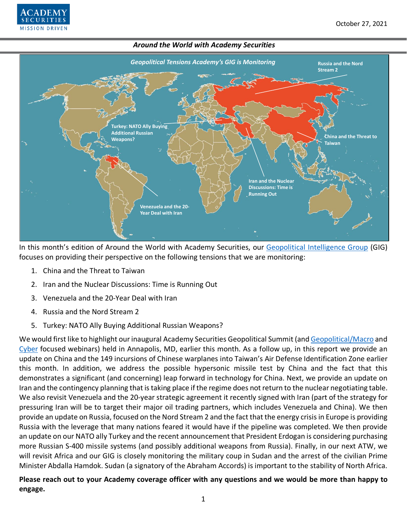

In this month's edition of Around the World with Academy Securities, our [Geopolitical Intelligence Group](https://www.academysecurities.com/geopolitical/geopolitical-intelligence-group/) (GIG) focuses on providing their perspective on the following tensions that we are monitoring:

1. China and the Threat to Taiwan

**ECURITIES MISSION DRIVEN** 

- 2. Iran and the Nuclear Discussions: Time is Running Out
- 3. Venezuela and the 20-Year Deal with Iran
- 4. Russia and the Nord Stream 2
- 5. Turkey: NATO Ally Buying Additional Russian Weapons?

We would first like to highlight our inaugural Academy Securities Geopolitical Summit (and [Geopolitical/Macro](https://www.youtube.com/watch?v=MMT_VEuJ_M4) and [Cyber](https://www.youtube.com/watch?v=DSJEGO82KnE) focused webinars) held in Annapolis, MD, earlier this month. As a follow up, in this report we provide an update on China and the 149 incursions of Chinese warplanes into Taiwan's Air Defense Identification Zone earlier this month. In addition, we address the possible hypersonic missile test by China and the fact that this demonstrates a significant (and concerning) leap forward in technology for China. Next, we provide an update on Iran and the contingency planning that is taking place if the regime does not return to the nuclear negotiating table. We also revisit Venezuela and the 20-year strategic agreement it recently signed with Iran (part of the strategy for pressuring Iran will be to target their major oil trading partners, which includes Venezuela and China). We then provide an update on Russia, focused on the Nord Stream 2 and the fact that the energy crisis in Europe is providing Russia with the leverage that many nations feared it would have if the pipeline was completed. We then provide an update on our NATO ally Turkey and the recent announcement that President Erdogan is considering purchasing more Russian S-400 missile systems (and possibly additional weapons from Russia). Finally, in our next ATW, we will revisit Africa and our GIG is closely monitoring the military coup in Sudan and the arrest of the civilian Prime Minister Abdalla Hamdok. Sudan (a signatory of the Abraham Accords) is important to the stability of North Africa.

**Please reach out to your Academy coverage officer with any questions and we would be more than happy to engage.**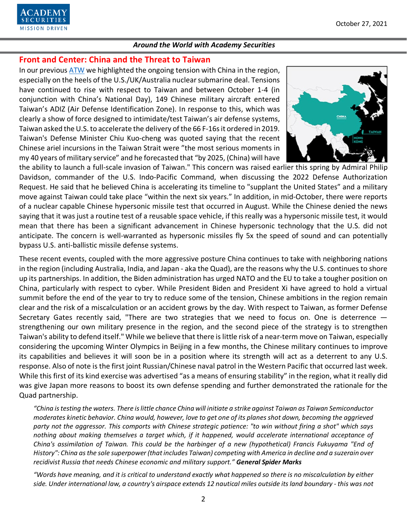

# **Front and Center: China and the Threat to Taiwan**

In our previous [ATW](https://www.academysecurities.com/wordpress/wp-content/uploads/2021/09/Around-the-World-with-Academy-Securities_9_28_21.pdf) we highlighted the ongoing tension with China in the region, especially on the heels of the U.S./UK/Australia nuclear submarine deal. Tensions have continued to rise with respect to Taiwan and between October 1-4 (in conjunction with China's National Day), 149 Chinese military aircraft entered Taiwan's ADIZ (Air Defense Identification Zone). In response to this, which was clearly a show of force designed to intimidate/test Taiwan's air defense systems, Taiwan asked the U.S. to accelerate the delivery of the 66 F-16s it ordered in 2019. Taiwan's Defense Minister Chiu Kuo-cheng was quoted saying that the recent Chinese ariel incursions in the Taiwan Strait were "the most serious moments in my 40 years of military service" and he forecasted that "by 2025, (China) will have



the ability to launch a full-scale invasion of Taiwan." This concern was raised earlier this spring by Admiral Philip Davidson, commander of the U.S. Indo-Pacific Command, when discussing the 2022 Defense Authorization Request. He said that he believed China is accelerating its timeline to "supplant the United States" and a military move against Taiwan could take place "within the next six years." In addition, in mid-October, there were reports of a nuclear capable Chinese hypersonic missile test that occurred in August. While the Chinese denied the news saying that it was just a routine test of a reusable space vehicle, if this really was a hypersonic missile test, it would mean that there has been a significant advancement in Chinese hypersonic technology that the U.S. did not anticipate. The concern is well-warranted as hypersonic missiles fly 5x the speed of sound and can potentially bypass U.S. anti-ballistic missile defense systems.

These recent events, coupled with the more aggressive posture China continues to take with neighboring nations in the region (including Australia, India, and Japan - aka the Quad), are the reasons why the U.S. continues to shore up its partnerships. In addition, the Biden administration has urged NATO and the EU to take a tougher position on China, particularly with respect to cyber. While President Biden and President Xi have agreed to hold a virtual summit before the end of the year to try to reduce some of the tension, Chinese ambitions in the region remain clear and the risk of a miscalculation or an accident grows by the day. With respect to Taiwan, as former Defense Secretary Gates recently said, "There are two strategies that we need to focus on. One is deterrence strengthening our own military presence in the region, and the second piece of the strategy is to strengthen Taiwan's ability to defend itself." While we believe that there is little risk of a near-term move on Taiwan, especially considering the upcoming Winter Olympics in Beijing in a few months, the Chinese military continues to improve its capabilities and believes it will soon be in a position where its strength will act as a deterrent to any U.S. response. Also of note is the first joint Russian/Chinese naval patrol in the Western Pacific that occurred last week. While this first of its kind exercise was advertised "as a means of ensuring stability" in the region, what it really did was give Japan more reasons to boost its own defense spending and further demonstrated the rationale for the Quad partnership.

*"China is testing the waters. There is little chance China will initiate a strike against Taiwan as Taiwan Semiconductor moderates kinetic behavior. China would, however, love to get one of its planes shot down, becoming the aggrieved party not the aggressor. This comports with Chinese strategic patience: "to win without firing a shot" which says nothing about making themselves a target which, if it happened, would accelerate international acceptance of China's assimilation of Taiwan. This could be the harbinger of a new (hypothetical) Francis Fukuyama "End of History": China as the sole superpower (that includes Taiwan) competing with America in decline and a suzerain over recidivist Russia that needs Chinese economic and military support." General Spider Marks*

*"Words have meaning, and it is critical to understand exactly what happened so there is no miscalculation by either side. Under international law, a country's airspace extends 12 nautical miles outside its land boundary - this was not*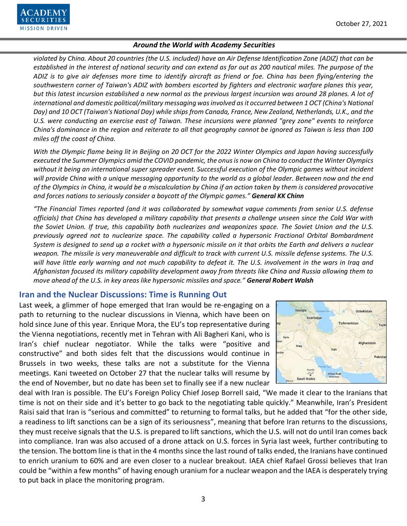

*violated by China. About 20 countries (the U.S. included) have an Air Defense Identification Zone (ADIZ) that can be established in the interest of national security and can extend as far out as 200 nautical miles. The purpose of the ADIZ is to give air defenses more time to identify aircraft as friend or foe. China has been flying/entering the southwestern corner of Taiwan's ADIZ with bombers escorted by fighters and electronic warfare planes this year, but this latest incursion established a new normal as the previous largest incursion was around 28 planes. A lot of international and domestic political/military messaging was involved as it occurred between 1 OCT (China's National Day) and 10 OCT (Taiwan's National Day) while ships from Canada, France, New Zealand, Netherlands, U.K., and the U.S. were conducting an exercise east of Taiwan. These incursions were planned "grey zone" events to reinforce China's dominance in the region and reiterate to all that geography cannot be ignored as Taiwan is less than 100 miles off the coast of China.*

*With the Olympic flame being lit in Beijing on 20 OCT for the 2022 Winter Olympics and Japan having successfully executed the Summer Olympics amid the COVID pandemic, the onus is now on China to conduct the Winter Olympics without it being an international super spreader event. Successful execution of the Olympic games without incident will provide China with a unique messaging opportunity to the world as a global leader. Between now and the end of the Olympics in China, it would be a miscalculation by China if an action taken by them is considered provocative and forces nations to seriously consider a boycott of the Olympic games." General KK Chinn*

*"The Financial Times reported (and it was collaborated by somewhat vague comments from senior U.S. defense officials) that China has developed a military capability that presents a challenge unseen since the Cold War with the Soviet Union. If true, this capability both nuclearizes and weaponizes space. The Soviet Union and the U.S. previously agreed not to nuclearize space. The capability called a hypersonic Fractional Orbital Bombardment System is designed to send up a rocket with a hypersonic missile on it that orbits the Earth and delivers a nuclear weapon. The missile is very maneuverable and difficult to track with current U.S. missile defense systems. The U.S. will have little early warning and not much capability to defeat it. The U.S. involvement in the wars in Iraq and Afghanistan focused its military capability development away from threats like China and Russia allowing them to move ahead of the U.S. in key areas like hypersonic missiles and space." General Robert Walsh*

# **Iran and the Nuclear Discussions: Time is Running Out**

Last week, a glimmer of hope emerged that Iran would be re-engaging on a path to returning to the nuclear discussions in Vienna, which have been on hold since June of this year. Enrique Mora, the EU's top representative during the Vienna negotiations, recently met in Tehran with Ali Bagheri Kani, who is Iran's chief nuclear negotiator. While the talks were "positive and constructive" and both sides felt that the discussions would continue in Brussels in two weeks, these talks are not a substitute for the Vienna meetings. Kani tweeted on October 27 that the nuclear talks will resume by the end of November, but no date has been set to finally see if a new nuclear



deal with Iran is possible. The EU's Foreign Policy Chief Josep Borrell said, "We made it clear to the Iranians that time is not on their side and it's better to go back to the negotiating table quickly." Meanwhile, Iran's President Raisi said that Iran is "serious and committed" to returning to formal talks, but he added that "for the other side, a readiness to lift sanctions can be a sign of its seriousness", meaning that before Iran returns to the discussions, they must receive signals that the U.S. is prepared to lift sanctions, which the U.S. will not do until Iran comes back into compliance. Iran was also accused of a drone attack on U.S. forces in Syria last week, further contributing to the tension. The bottom line is that in the 4 months since the last round of talks ended, the Iranians have continued to enrich uranium to 60% and are even closer to a nuclear breakout. IAEA chief Rafael Grossi believes that Iran could be "within a few months" of having enough uranium for a nuclear weapon and the IAEA is desperately trying to put back in place the monitoring program.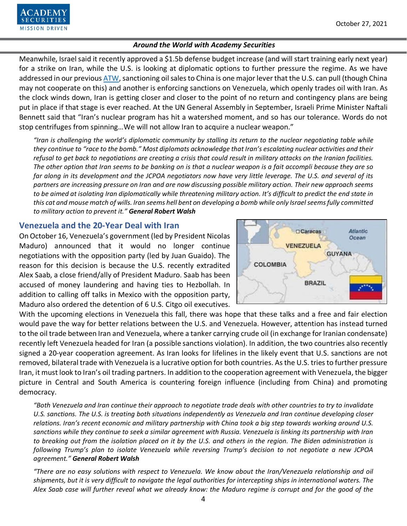

Meanwhile, Israel said it recently approved a \$1.5b defense budget increase (and will start training early next year) for a strike on Iran, while the U.S. is looking at diplomatic options to further pressure the regime. As we have addressed in our previou[s ATW,](https://www.academysecurities.com/wordpress/wp-content/uploads/2021/09/Around-the-World-with-Academy-Securities_9_28_21.pdf) sanctioning oil sales to China is one major lever that the U.S. can pull (though China may not cooperate on this) and another is enforcing sanctions on Venezuela, which openly trades oil with Iran. As the clock winds down, Iran is getting closer and closer to the point of no return and contingency plans are being put in place if that stage is ever reached. At the UN General Assembly in September, Israeli Prime Minister Naftali Bennett said that "Iran's nuclear program has hit a watershed moment, and so has our tolerance. Words do not stop centrifuges from spinning…We will not allow Iran to acquire a nuclear weapon."

*"Iran is challenging the world's diplomatic community by stalling its return to the nuclear negotiating table while they continue to "race to the bomb." Most diplomats acknowledge that Iran's escalating nuclear activities and their refusal to get back to negotiations are creating a crisis that could result in military attacks on the Iranian facilities. The other option that Iran seems to be banking on is that a nuclear weapon is a fait accompli because they are so far along in its development and the JCPOA negotiators now have very little leverage. The U.S. and several of its partners are increasing pressure on Iran and are now discussing possible military action. Their new approach seems to be aimed at isolating Iran diplomatically while threatening military action. It's difficult to predict the end state in this cat and mouse match of wills. Iran seems hell bent on developing a bomb while only Israel seems fully committed to military action to prevent it." General Robert Walsh*

# **Venezuela and the 20-Year Deal with Iran**

On October 16, Venezuela's government (led by President Nicolas Maduro) announced that it would no longer continue negotiations with the opposition party (led by Juan Guaido). The reason for this decision is because the U.S. recently extradited Alex Saab, a close friend/ally of President Maduro. Saab has been accused of money laundering and having ties to Hezbollah. In addition to calling off talks in Mexico with the opposition party, Maduro also ordered the detention of 6 U.S. Citgo oil executives.



With the upcoming elections in Venezuela this fall, there was hope that these talks and a free and fair election would pave the way for better relations between the U.S. and Venezuela. However, attention has instead turned to the oil trade between Iran and Venezuela, where a tanker carrying crude oil (in exchange for Iranian condensate) recently left Venezuela headed for Iran (a possible sanctions violation). In addition, the two countries also recently signed a 20-year cooperation agreement. As Iran looks for lifelines in the likely event that U.S. sanctions are not removed, bilateral trade with Venezuela is a lucrative option for both countries. As the U.S. tries to further pressure Iran, it must look to Iran's oil trading partners. In addition to the cooperation agreement with Venezuela, the bigger picture in Central and South America is countering foreign influence (including from China) and promoting democracy.

*"Both Venezuela and Iran continue their approach to negotiate trade deals with other countries to try to invalidate U.S. sanctions. The U.S. is treating both situations independently as Venezuela and Iran continue developing closer relations. Iran's recent economic and military partnership with China took a big step towards working around U.S. sanctions while they continue to seek a similar agreement with Russia. Venezuela is linking its partnership with Iran to breaking out from the isolation placed on it by the U.S. and others in the region. The Biden administration is following Trump's plan to isolate Venezuela while reversing Trump's decision to not negotiate a new JCPOA agreement." General Robert Walsh*

*"There are no easy solutions with respect to Venezuela. We know about the Iran/Venezuela relationship and oil shipments, but it is very difficult to navigate the legal authorities for intercepting ships in international waters. The Alex Saab case will further reveal what we already know: the Maduro regime is corrupt and for the good of the*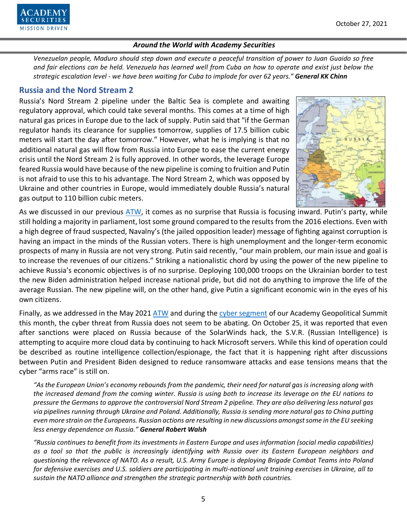

*Venezuelan people, Maduro should step down and execute a peaceful transition of power to Juan Guaido so free and fair elections can be held. Venezuela has learned well from Cuba on how to operate and exist just below the strategic escalation level - we have been waiting for Cuba to implode for over 62 years." General KK Chinn*

# **Russia and the Nord Stream 2**

Russia's Nord Stream 2 pipeline under the Baltic Sea is complete and awaiting regulatory approval, which could take several months. This comes at a time of high natural gas prices in Europe due to the lack of supply. Putin said that "if the German regulator hands its clearance for supplies tomorrow, supplies of 17.5 billion cubic meters will start the day after tomorrow." However, what he is implying is that no additional natural gas will flow from Russia into Europe to ease the current energy crisis until the Nord Stream 2 is fully approved. In other words, the leverage Europe feared Russia would have because of the new pipeline is coming to fruition and Putin is not afraid to use this to his advantage. The Nord Stream 2, which was opposed by Ukraine and other countries in Europe, would immediately double Russia's natural gas output to 110 billion cubic meters.



As we discussed in our previous [ATW,](https://www.academysecurities.com/wordpress/wp-content/uploads/2021/09/Around-the-World-with-Academy-Securities_9_28_21.pdf) it comes as no surprise that Russia is focusing inward. Putin's party, while still holding a majority in parliament, lost some ground compared to the results from the 2016 elections. Even with a high degree of fraud suspected, Navalny's (the jailed opposition leader) message of fighting against corruption is having an impact in the minds of the Russian voters. There is high unemployment and the longer-term economic prospects of many in Russia are not very strong. Putin said recently, "our main problem, our main issue and goal is to increase the revenues of our citizens." Striking a nationalistic chord by using the power of the new pipeline to achieve Russia's economic objectives is of no surprise. Deploying 100,000 troops on the Ukrainian border to test the new Biden administration helped increase national pride, but did not do anything to improve the life of the average Russian. The new pipeline will, on the other hand, give Putin a significant economic win in the eyes of his own citizens.

Finally, as we addressed in the May 2021 [ATW](https://www.academysecurities.com/wordpress/wp-content/uploads/2021/05/Around-the-World-with-Academy-Securities_5-27-21.pdf) and during the [cyber segment](https://www.youtube.com/watch?v=DSJEGO82KnE) of our Academy Geopolitical Summit this month, the cyber threat from Russia does not seem to be abating. On October 25, it was reported that even after sanctions were placed on Russia because of the SolarWinds hack, the S.V.R. (Russian Intelligence) is attempting to acquire more cloud data by continuing to hack Microsoft servers. While this kind of operation could be described as routine intelligence collection/espionage, the fact that it is happening right after discussions between Putin and President Biden designed to reduce ransomware attacks and ease tensions means that the cyber "arms race" is still on.

*"As the European Union's economy rebounds from the pandemic, their need for natural gas is increasing along with the increased demand from the coming winter. Russia is using both to increase its leverage on the EU nations to pressure the Germans to approve the controversial Nord Stream 2 pipeline. They are also delivering less natural gas via pipelines running through Ukraine and Poland. Additionally, Russia is sending more natural gas to China putting even more strain on the Europeans. Russian actions are resulting in new discussions amongst some in the EU seeking less energy dependence on Russia." General Robert Walsh*

*"Russia continues to benefit from its investments in Eastern Europe and uses information (social media capabilities) as a tool so that the public is increasingly identifying with Russia over its Eastern European neighbors and questioning the relevance of NATO. As a result, U.S. Army Europe is deploying Brigade Combat Teams into Poland for defensive exercises and U.S. soldiers are participating in multi-national unit training exercises in Ukraine, all to sustain the NATO alliance and strengthen the strategic partnership with both countries.*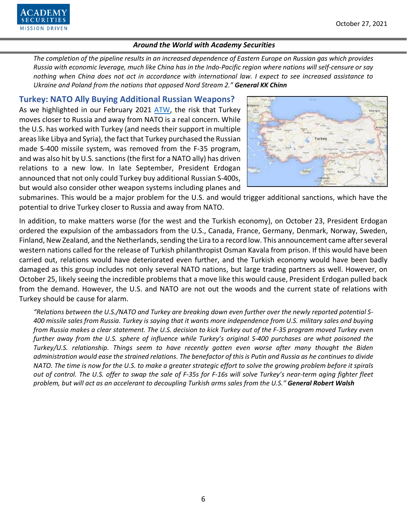

*The completion of the pipeline results in an increased dependence of Eastern Europe on Russian gas which provides Russia with economic leverage, much like China has in the Indo-Pacific region where nations will self-censure or say nothing when China does not act in accordance with international law. I expect to see increased assistance to Ukraine and Poland from the nations that opposed Nord Stream 2." General KK Chinn*

# **Turkey: NATO Ally Buying Additional Russian Weapons?**

As we highlighted in our February 2021 [ATW,](https://www.academysecurities.com/wordpress/wp-content/uploads/2021/02/Around-the-World-with-Academy-Securities_2_25_21.pdf) the risk that Turkey moves closer to Russia and away from NATO is a real concern. While the U.S. has worked with Turkey (and needs their support in multiple areas like Libya and Syria), the fact that Turkey purchased the Russian made S-400 missile system, was removed from the F-35 program, and was also hit by U.S. sanctions (the first for a NATO ally) has driven relations to a new low. In late September, President Erdogan announced that not only could Turkey buy additional Russian S-400s, but would also consider other weapon systems including planes and



submarines. This would be a major problem for the U.S. and would trigger additional sanctions, which have the potential to drive Turkey closer to Russia and away from NATO.

In addition, to make matters worse (for the west and the Turkish economy), on October 23, President Erdogan ordered the expulsion of the ambassadors from the U.S., Canada, France, Germany, Denmark, Norway, Sweden, Finland, New Zealand, and the Netherlands, sending the Lira to a record low. This announcement came after several western nations called for the release of Turkish philanthropist Osman Kavala from prison. If this would have been carried out, relations would have deteriorated even further, and the Turkish economy would have been badly damaged as this group includes not only several NATO nations, but large trading partners as well. However, on October 25, likely seeing the incredible problems that a move like this would cause, President Erdogan pulled back from the demand. However, the U.S. and NATO are not out the woods and the current state of relations with Turkey should be cause for alarm.

*"Relations between the U.S./NATO and Turkey are breaking down even further over the newly reported potential S-400 missile sales from Russia. Turkey is saying that it wants more independence from U.S. military sales and buying from Russia makes a clear statement. The U.S. decision to kick Turkey out of the F-35 program moved Turkey even further away from the U.S. sphere of influence while Turkey's original S-400 purchases are what poisoned the Turkey/U.S. relationship. Things seem to have recently gotten even worse after many thought the Biden administration would ease the strained relations. The benefactor of this is Putin and Russia as he continues to divide NATO. The time is now for the U.S. to make a greater strategic effort to solve the growing problem before it spirals out of control. The U.S. offer to swap the sale of F-35s for F-16s will solve Turkey's near-term aging fighter fleet problem, but will act as an accelerant to decoupling Turkish arms sales from the U.S." General Robert Walsh*